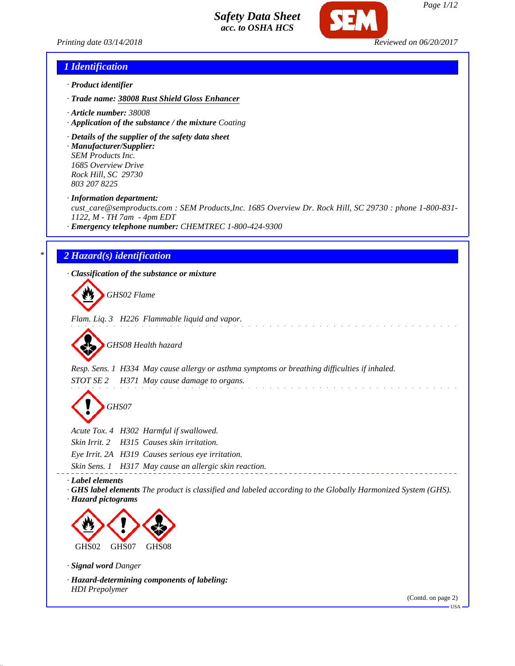

*Printing date 03/14/2018 Reviewed on 06/20/2017*

## *1 Identification*

- *· Product identifier*
- *· Trade name: 38008 Rust Shield Gloss Enhancer*
- *· Article number: 38008*
- *· Application of the substance / the mixture Coating*
- *· Details of the supplier of the safety data sheet*
- *· Manufacturer/Supplier: SEM Products Inc. 1685 Overview Drive Rock Hill, SC 29730 803 207 8225*

*· Information department:*

*cust\_care@semproducts.com : SEM Products,Inc. 1685 Overview Dr. Rock Hill, SC 29730 : phone 1-800-831- 1122, M - TH 7am - 4pm EDT*

*· Emergency telephone number: CHEMTREC 1-800-424-9300*

# *\* 2 Hazard(s) identification*

*· Classification of the substance or mixture*

*GHS02 Flame*

*Flam. Liq. 3 H226 Flammable liquid and vapor.*

*GHS08 Health hazard*

*Resp. Sens. 1 H334 May cause allergy or asthma symptoms or breathing difficulties if inhaled. STOT SE 2 H371 May cause damage to organs.*

*GHS07*

*Acute Tox. 4 H302 Harmful if swallowed.*

*Skin Irrit. 2 H315 Causes skin irritation.*

*Eye Irrit. 2A H319 Causes serious eye irritation.*

*Skin Sens. 1 H317 May cause an allergic skin reaction.*

*· Label elements*

*· GHS label elements The product is classified and labeled according to the Globally Harmonized System (GHS). · Hazard pictograms*



*· Signal word Danger*

*· Hazard-determining components of labeling: HDI Prepolymer*

(Contd. on page 2)

USA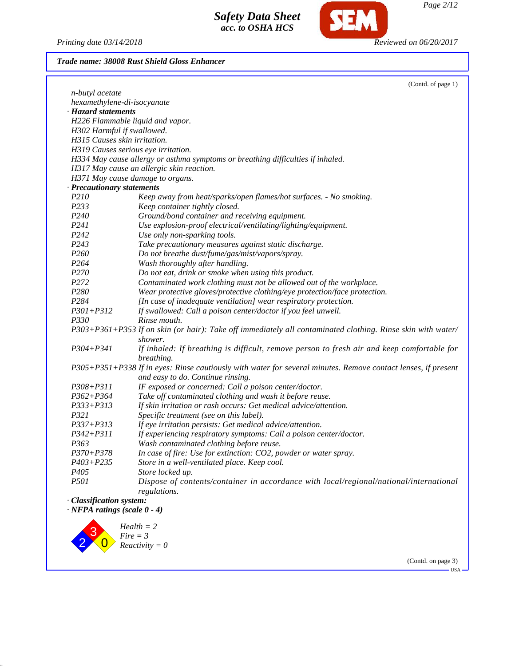*Printing date 03/14/2018 Reviewed on 06/20/2017*

**SEM** 

# *Trade name: 38008 Rust Shield Gloss Enhancer*

|                                    | (Contd. of page 1)                                                                                                     |
|------------------------------------|------------------------------------------------------------------------------------------------------------------------|
| n-butyl acetate                    |                                                                                                                        |
| hexamethylene-di-isocyanate        |                                                                                                                        |
| · Hazard statements                |                                                                                                                        |
|                                    | H226 Flammable liquid and vapor.                                                                                       |
| H302 Harmful if swallowed.         |                                                                                                                        |
| H315 Causes skin irritation.       |                                                                                                                        |
|                                    | H319 Causes serious eye irritation.                                                                                    |
|                                    | H334 May cause allergy or asthma symptoms or breathing difficulties if inhaled.                                        |
|                                    | H317 May cause an allergic skin reaction.                                                                              |
|                                    | H371 May cause damage to organs.                                                                                       |
| · Precautionary statements         |                                                                                                                        |
| P210                               | Keep away from heat/sparks/open flames/hot surfaces. - No smoking.                                                     |
| P233                               | Keep container tightly closed.                                                                                         |
| P <sub>240</sub>                   | Ground/bond container and receiving equipment.                                                                         |
| P241                               | Use explosion-proof electrical/ventilating/lighting/equipment.                                                         |
| P242                               | Use only non-sparking tools.                                                                                           |
| P243                               | Take precautionary measures against static discharge.                                                                  |
| <i>P260</i>                        | Do not breathe dust/fume/gas/mist/vapors/spray.                                                                        |
| P <sub>264</sub>                   | Wash thoroughly after handling.                                                                                        |
| P270                               | Do not eat, drink or smoke when using this product.                                                                    |
| P272                               | Contaminated work clothing must not be allowed out of the workplace.                                                   |
| P <sub>280</sub>                   | Wear protective gloves/protective clothing/eye protection/face protection.                                             |
| P284                               | [In case of inadequate ventilation] wear respiratory protection.                                                       |
| $P301 + P312$                      | If swallowed: Call a poison center/doctor if you feel unwell.                                                          |
| P330                               | Rinse mouth.                                                                                                           |
|                                    | P303+P361+P353 If on skin (or hair): Take off immediately all contaminated clothing. Rinse skin with water/<br>shower. |
| $P304 + P341$                      | If inhaled: If breathing is difficult, remove person to fresh air and keep comfortable for<br>breathing.               |
|                                    | P305+P351+P338 If in eyes: Rinse cautiously with water for several minutes. Remove contact lenses, if present          |
|                                    | and easy to do. Continue rinsing.                                                                                      |
| $P308 + P311$                      | IF exposed or concerned: Call a poison center/doctor.                                                                  |
| $P362 + P364$                      | Take off contaminated clothing and wash it before reuse.                                                               |
| P333+P313                          | If skin irritation or rash occurs: Get medical advice/attention.                                                       |
| P321                               | Specific treatment (see on this label).                                                                                |
| P337+P313                          | If eye irritation persists: Get medical advice/attention.                                                              |
| $P342 + P311$                      | If experiencing respiratory symptoms: Call a poison center/doctor.                                                     |
| P <sub>363</sub>                   | Wash contaminated clothing before reuse.                                                                               |
| $P370 + P378$                      | In case of fire: Use for extinction: CO2, powder or water spray.                                                       |
| P403+P235                          | Store in a well-ventilated place. Keep cool.                                                                           |
| P <sub>405</sub>                   | Store locked up.                                                                                                       |
| <i>P501</i>                        | Dispose of contents/container in accordance with local/regional/national/international                                 |
|                                    | regulations.                                                                                                           |
| · Classification system:           |                                                                                                                        |
| $\cdot$ NFPA ratings (scale 0 - 4) |                                                                                                                        |
|                                    |                                                                                                                        |



(Contd. on page 3)

-<br>USA -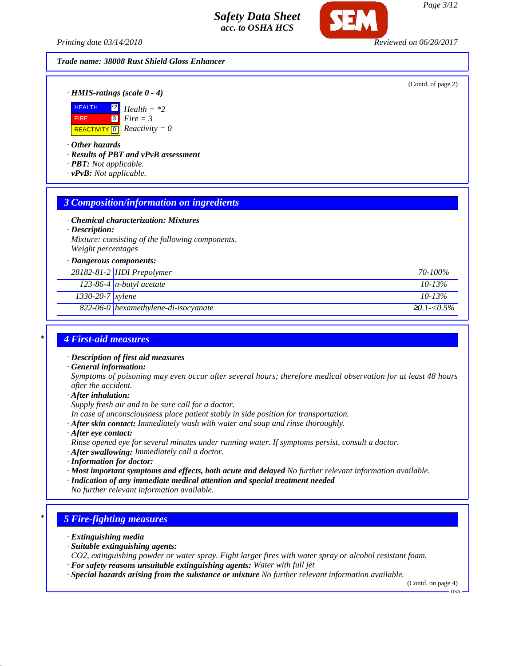*Printing date 03/14/2018 Reviewed on 06/20/2017*

# *Trade name: 38008 Rust Shield Gloss Enhancer*

(Contd. of page 2)

*· HMIS-ratings (scale 0 - 4)*



*· Other hazards*

*· Results of PBT and vPvB assessment*

- *· PBT: Not applicable.*
- *· vPvB: Not applicable.*

# *3 Composition/information on ingredients*

*· Chemical characterization: Mixtures*

*· Description:*

*Mixture: consisting of the following components. Weight percentages*

| $\cdot$ Dangerous components:                 |                    |
|-----------------------------------------------|--------------------|
| 28182-81-2 HDI Prepolymer                     | 70-100%            |
| 123-86-4 $n$ -butyl acetate                   | $10 - 13\%$        |
| $1330-20-7$ xylene                            | $10 - 13\%$        |
| $\sqrt{822-06-0}$ hexamethylene-di-isocyanate | $\geq 0.1 - 0.5\%$ |

# *\* 4 First-aid measures*

- *· Description of first aid measures*
- *· General information:*

*Symptoms of poisoning may even occur after several hours; therefore medical observation for at least 48 hours after the accident.*

*· After inhalation:*

*Supply fresh air and to be sure call for a doctor.*

*In case of unconsciousness place patient stably in side position for transportation.*

- *· After skin contact: Immediately wash with water and soap and rinse thoroughly.*
- *· After eye contact:*
- *Rinse opened eye for several minutes under running water. If symptoms persist, consult a doctor.*

*· After swallowing: Immediately call a doctor.*

- *· Information for doctor:*
- *· Most important symptoms and effects, both acute and delayed No further relevant information available.*
- *· Indication of any immediate medical attention and special treatment needed*
- *No further relevant information available.*

# *\* 5 Fire-fighting measures*

- *· Extinguishing media*
- *· Suitable extinguishing agents:*
- *CO2, extinguishing powder or water spray. Fight larger fires with water spray or alcohol resistant foam.*
- *· For safety reasons unsuitable extinguishing agents: Water with full jet*
- *· Special hazards arising from the substance or mixture No further relevant information available.*

(Contd. on page 4) USA

*Page 3/12*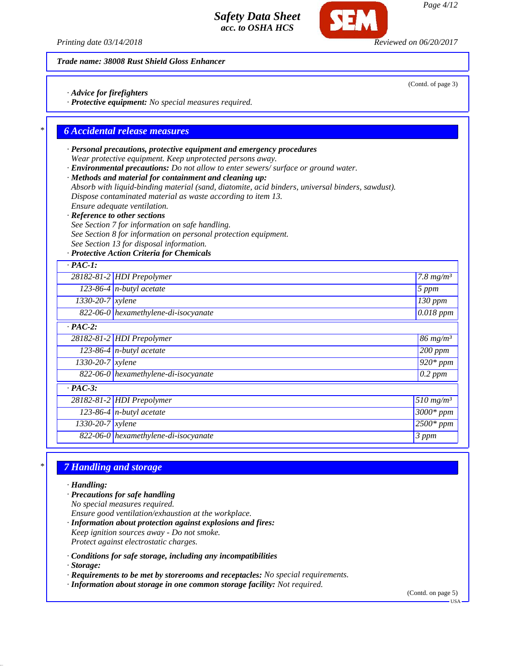*Printing date 03/14/2018 Reviewed on 06/20/2017*

*Trade name: 38008 Rust Shield Gloss Enhancer*

*· Advice for firefighters*

*· Protective equipment: No special measures required.*

# *\* 6 Accidental release measures*

- *· Personal precautions, protective equipment and emergency procedures Wear protective equipment. Keep unprotected persons away.*
- *· Environmental precautions: Do not allow to enter sewers/ surface or ground water.*
- *· Methods and material for containment and cleaning up:*
- *Absorb with liquid-binding material (sand, diatomite, acid binders, universal binders, sawdust). Dispose contaminated material as waste according to item 13.*
- *Ensure adequate ventilation.*
- *· Reference to other sections*
- *See Section 7 for information on safe handling.*
- *See Section 8 for information on personal protection equipment.*
- *See Section 13 for disposal information.*

### *· Protective Action Criteria for Chemicals*

| $\cdot$ PAC-1:                |                                      |                         |
|-------------------------------|--------------------------------------|-------------------------|
|                               | 28182-81-2 HDI Prepolymer            | 7.8 $mg/m^3$            |
|                               | 123-86-4 $n$ -butyl acetate          | 5 ppm                   |
| $1330-20-7$ xylene            |                                      | $\overline{130}$ ppm    |
|                               | 822-06-0 hexamethylene-di-isocyanate | $0.018$ ppm             |
| $\cdot$ PAC-2:                |                                      |                         |
|                               | 28182-81-2 HDI Prepolymer            | $86$ mg/m <sup>3</sup>  |
|                               | 123-86-4 $n$ -butyl acetate          | 200 ppm                 |
| $1330 - 20 - 7$ <i>xylene</i> |                                      | $\overline{9}20$ * ppm  |
|                               | 822-06-0 hexamethylene-di-isocyanate | $\sqrt{0.2~ppm}$        |
| $\cdot$ PAC-3:                |                                      |                         |
|                               | 28182-81-2 HDI Prepolymer            | $510$ mg/m <sup>3</sup> |
|                               | 123-86-4 $n$ -butyl acetate          | $3000*$ ppm             |
| $1330 - 20 - 7$ <i>xylene</i> |                                      | $2500*$ ppm             |
|                               | 822-06-0 hexamethylene-di-isocyanate | 3 ppm                   |

# *\* 7 Handling and storage*

*· Handling:*

- *· Precautions for safe handling No special measures required.*
- *Ensure good ventilation/exhaustion at the workplace. · Information about protection against explosions and fires:*
- *Keep ignition sources away Do not smoke. Protect against electrostatic charges.*
- *· Conditions for safe storage, including any incompatibilities*

*· Storage:*

- *· Requirements to be met by storerooms and receptacles: No special requirements.*
- *· Information about storage in one common storage facility: Not required.*

(Contd. on page 5)

*Page 4/12*

USA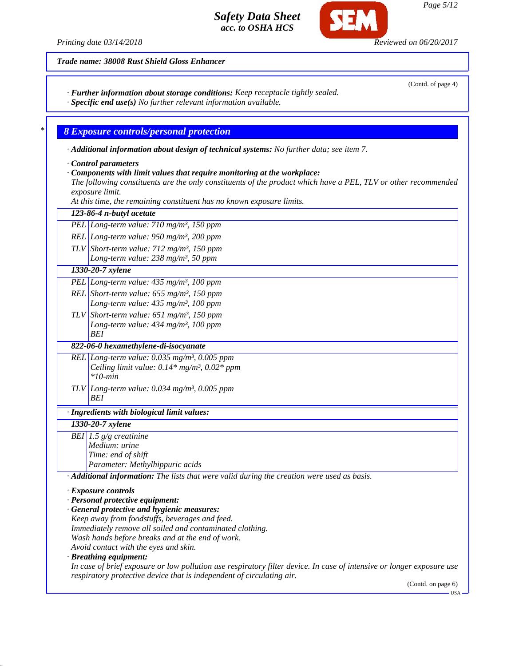*Printing date 03/14/2018 Reviewed on 06/20/2017*

(Contd. of page 4)

*Trade name: 38008 Rust Shield Gloss Enhancer*

*· Further information about storage conditions: Keep receptacle tightly sealed.*

*· Specific end use(s) No further relevant information available.*

# *\* 8 Exposure controls/personal protection*

*· Additional information about design of technical systems: No further data; see item 7.*

*· Control parameters*

*· Components with limit values that require monitoring at the workplace:*

*The following constituents are the only constituents of the product which have a PEL, TLV or other recommended exposure limit.*

*At this time, the remaining constituent has no known exposure limits.*

| 123-86-4 n-butyl acetate                                                                                              |
|-----------------------------------------------------------------------------------------------------------------------|
| PEL Long-term value: $710$ mg/m <sup>3</sup> , 150 ppm                                                                |
| REL Long-term value: $950$ mg/m <sup>3</sup> , 200 ppm                                                                |
| TLV Short-term value: $712 \text{ mg/m}^3$ , 150 ppm                                                                  |
| Long-term value: 238 mg/m <sup>3</sup> , 50 ppm                                                                       |
| 1330-20-7 xylene                                                                                                      |
| PEL Long-term value: 435 mg/m <sup>3</sup> , 100 ppm                                                                  |
| REL Short-term value: $655$ mg/m <sup>3</sup> , 150 ppm                                                               |
| Long-term value: 435 mg/m <sup>3</sup> , 100 ppm                                                                      |
| TLV Short-term value: $651$ mg/m <sup>3</sup> , 150 ppm                                                               |
| Long-term value: 434 mg/m <sup>3</sup> , 100 ppm                                                                      |
| BEI                                                                                                                   |
| 822-06-0 hexamethylene-di-isocyanate                                                                                  |
| REL Long-term value: $0.035$ mg/m <sup>3</sup> , 0.005 ppm                                                            |
| Ceiling limit value: $0.14*$ mg/m <sup>3</sup> , $0.02*$ ppm<br>$*10$ -min                                            |
|                                                                                                                       |
| TLV Long-term value: $0.034$ mg/m <sup>3</sup> , 0.005 ppm<br>BEI                                                     |
|                                                                                                                       |
| · Ingredients with biological limit values:                                                                           |
| 1330-20-7 xylene                                                                                                      |
| BEI 1.5 $g/g$ creatinine                                                                                              |
| Medium: urine<br>Time: end of shift                                                                                   |
| Parameter: Methylhippuric acids                                                                                       |
| · Additional information: The lists that were valid during the creation were used as basis.                           |
|                                                                                                                       |
| · Exposure controls                                                                                                   |
| · Personal protective equipment:<br>· General protective and hygienic measures:                                       |
| Keep away from foodstuffs, beverages and feed.                                                                        |
| Immediately remove all soiled and contaminated clothing.                                                              |
| Wash hands before breaks and at the end of work.                                                                      |
| Avoid contact with the eyes and skin.                                                                                 |
| · Breathing equipment:                                                                                                |
| In case of brief exposure or low pollution use respiratory filter device. In case of intensive or longer exposure use |
| respiratory protective device that is independent of circulating air.<br>(Contd. on page 6)                           |

Œ

*Page 5/12*

USA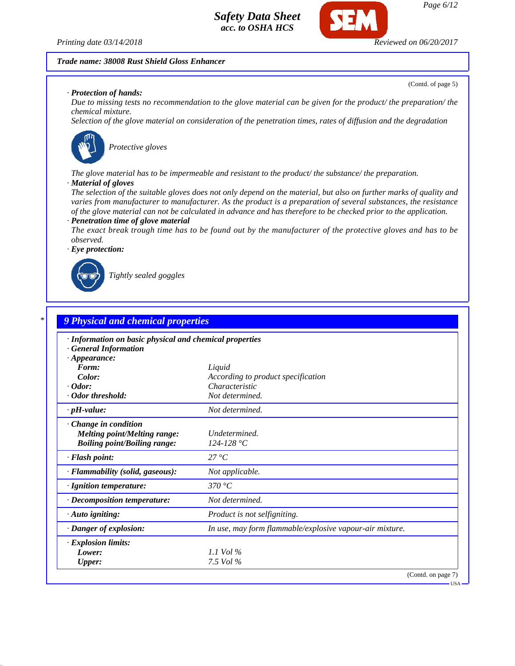

#### *Trade name: 38008 Rust Shield Gloss Enhancer*

(Contd. of page 5)

#### *· Protection of hands:*

*Due to missing tests no recommendation to the glove material can be given for the product/ the preparation/ the chemical mixture.*

*Selection of the glove material on consideration of the penetration times, rates of diffusion and the degradation*



*Protective gloves*

*The glove material has to be impermeable and resistant to the product/ the substance/ the preparation.*

#### *· Material of gloves*

*The selection of the suitable gloves does not only depend on the material, but also on further marks of quality and varies from manufacturer to manufacturer. As the product is a preparation of several substances, the resistance of the glove material can not be calculated in advance and has therefore to be checked prior to the application. · Penetration time of glove material*

*The exact break trough time has to be found out by the manufacturer of the protective gloves and has to be observed.*

*· Eye protection:*



*Tightly sealed goggles*

| · Information on basic physical and chemical properties |                                                          |
|---------------------------------------------------------|----------------------------------------------------------|
| <b>General Information</b>                              |                                                          |
| $\cdot$ Appearance:<br>Form:                            |                                                          |
| Color:                                                  | Liquid<br>According to product specification             |
| $\cdot$ Odor:                                           | Characteristic                                           |
| · Odor threshold:                                       | Not determined.                                          |
| $\cdot$ pH-value:                                       | Not determined.                                          |
| Change in condition                                     |                                                          |
| <b>Melting point/Melting range:</b>                     | Undetermined.                                            |
| <b>Boiling point/Boiling range:</b>                     | 124-128 °C                                               |
| · Flash point:                                          | $27^{\circ}C$                                            |
| · Flammability (solid, gaseous):                        | Not applicable.                                          |
| · Ignition temperature:                                 | 370 °C                                                   |
| · Decomposition temperature:                            | Not determined.                                          |
| · Auto igniting:                                        | Product is not selfigniting.                             |
| · Danger of explosion:                                  | In use, may form flammable/explosive vapour-air mixture. |
| · Explosion limits:                                     |                                                          |
| Lower:                                                  | 1.1 Vol $\%$                                             |
| <b>Upper:</b>                                           | 7.5 Vol %                                                |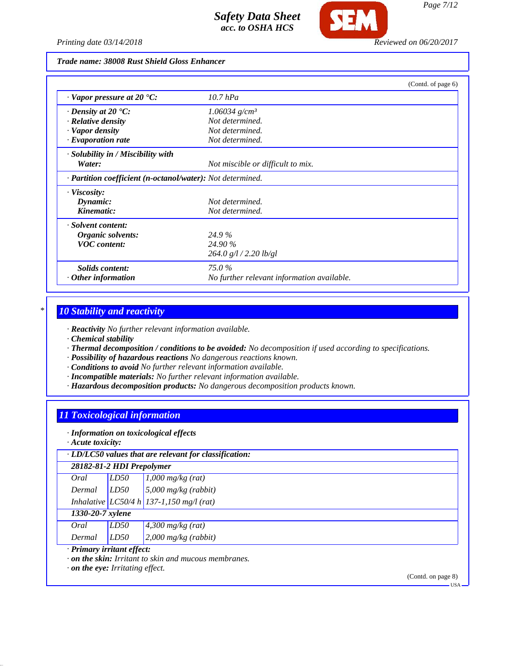

Œ

# *Trade name: 38008 Rust Shield Gloss Enhancer*

|                                                                         |                                            | (Contd. of page 6) |
|-------------------------------------------------------------------------|--------------------------------------------|--------------------|
| $\cdot$ Vapor pressure at 20 $\cdot$ C:                                 | $10.7$ hPa                                 |                    |
| $\cdot$ Density at 20 $\cdot$ C:                                        | $1.06034$ g/cm <sup>3</sup>                |                    |
| $\cdot$ Relative density                                                | Not determined.                            |                    |
| · Vapor density                                                         | Not determined.                            |                    |
| $\cdot$ Evaporation rate                                                | Not determined.                            |                    |
| $\cdot$ Solubility in / Miscibility with                                |                                            |                    |
| Water:                                                                  | Not miscible or difficult to mix.          |                    |
| $\cdot$ <b>Partition coefficient (n-octanol/water):</b> Not determined. |                                            |                    |
| $\cdot$ Viscosity:                                                      |                                            |                    |
| Dynamic:                                                                | Not determined.                            |                    |
| Kinematic:                                                              | Not determined.                            |                    |
| · Solvent content:                                                      |                                            |                    |
| Organic solvents:                                                       | 24.9%                                      |                    |
| <b>VOC</b> content:                                                     | 24.90 %                                    |                    |
|                                                                         | $264.0$ g/l $/2.20$ lb/gl                  |                    |
| Solids content:                                                         | 75.0%                                      |                    |
| $\cdot$ Other information                                               | No further relevant information available. |                    |

# *\* 10 Stability and reactivity*

*· Reactivity No further relevant information available.*

*· Chemical stability*

*· Thermal decomposition / conditions to be avoided: No decomposition if used according to specifications.*

*· Possibility of hazardous reactions No dangerous reactions known.*

*· Conditions to avoid No further relevant information available.*

- *· Incompatible materials: No further relevant information available.*
- *· Hazardous decomposition products: No dangerous decomposition products known.*

# *11 Toxicological information*

*· Information on toxicological effects*

*· Acute toxicity:*

|                            |      | $\cdot$ LD/LC50 values that are relevant for classification: |
|----------------------------|------|--------------------------------------------------------------|
| 28182-81-2 HDI Prepolymer  |      |                                                              |
| Oral                       | LD50 | $1,000$ mg/kg (rat)                                          |
| Dermal                     | LD50 | $\frac{5,000 \text{ mg/kg}}{(\text{rabbit)}}$                |
|                            |      | Inhalative LC50/4 h 137-1,150 mg/l (rat)                     |
| 1330-20-7 xylene           |      |                                                              |
| Oral                       | LD50 | $4,300$ mg/kg (rat)                                          |
| Dermal                     | LD50 | $2,000$ mg/kg (rabbit)                                       |
| · Primary irritant effect: |      |                                                              |

*· on the skin: Irritant to skin and mucous membranes.*

*· on the eye: Irritating effect.*

(Contd. on page 8)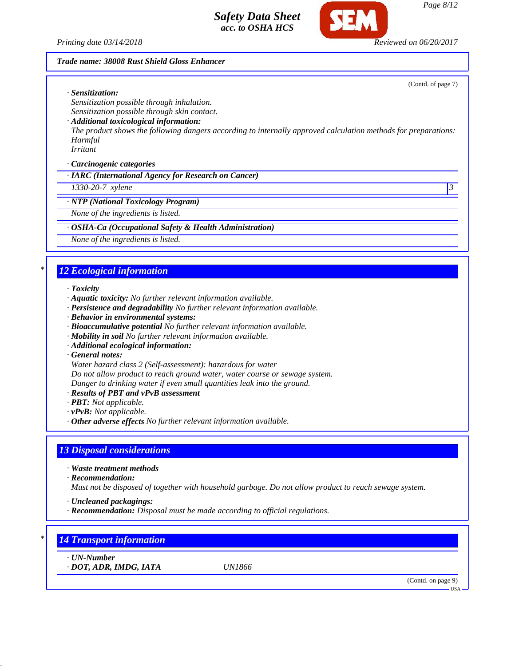*Printing date 03/14/2018 Reviewed on 06/20/2017*

### *Trade name: 38008 Rust Shield Gloss Enhancer*

(Contd. of page 7)

*· Sensitization:*

*Sensitization possible through inhalation. Sensitization possible through skin contact.*

*· Additional toxicological information:*

*The product shows the following dangers according to internally approved calculation methods for preparations: Harmful*

*Irritant*

*· Carcinogenic categories*

*· IARC (International Agency for Research on Cancer)*

*1330-20-7 xylene 3* 

*· NTP (National Toxicology Program)*

*None of the ingredients is listed.*

*· OSHA-Ca (Occupational Safety & Health Administration)*

*None of the ingredients is listed.*

# *\* 12 Ecological information*

*· Toxicity*

- *· Aquatic toxicity: No further relevant information available.*
- *· Persistence and degradability No further relevant information available.*
- *· Behavior in environmental systems:*
- *· Bioaccumulative potential No further relevant information available.*
- *· Mobility in soil No further relevant information available.*
- *· Additional ecological information:*

*· General notes:*

*Water hazard class 2 (Self-assessment): hazardous for water*

*Do not allow product to reach ground water, water course or sewage system.*

*Danger to drinking water if even small quantities leak into the ground.*

- *· Results of PBT and vPvB assessment*
- *· PBT: Not applicable.*
- *· vPvB: Not applicable.*
- *· Other adverse effects No further relevant information available.*

## *13 Disposal considerations*

*· Waste treatment methods*

*· Recommendation:*

*Must not be disposed of together with household garbage. Do not allow product to reach sewage system.*

*· Uncleaned packagings:*

*· Recommendation: Disposal must be made according to official regulations.*

# *\* 14 Transport information*

*· UN-Number*

*· DOT, ADR, IMDG, IATA UN1866*

(Contd. on page 9)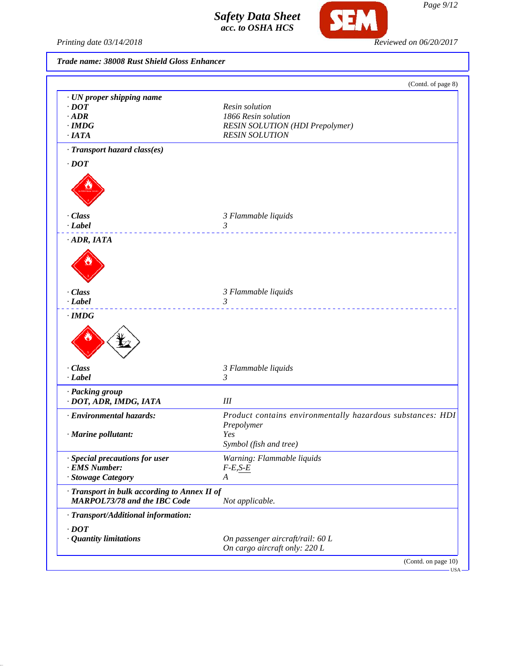

SEM

# *Trade name: 38008 Rust Shield Gloss Enhancer*

|                                                                                     | (Contd. of page 8)                                         |
|-------------------------------------------------------------------------------------|------------------------------------------------------------|
| · UN proper shipping name                                                           |                                                            |
| $\cdot$ DOT                                                                         | Resin solution                                             |
| $·$ ADR                                                                             | 1866 Resin solution                                        |
| $\cdot$ IMDG                                                                        | RESIN SOLUTION (HDI Prepolymer)                            |
| $\cdot$ IATA                                                                        | <b>RESIN SOLUTION</b>                                      |
| · Transport hazard class(es)                                                        |                                                            |
| $\cdot$ <i>DOT</i>                                                                  |                                                            |
|                                                                                     |                                                            |
| · Class                                                                             | 3 Flammable liquids                                        |
| $-Label$                                                                            | $\mathfrak{Z}$                                             |
| $\cdot$ ADR, IATA                                                                   |                                                            |
|                                                                                     |                                                            |
| · Class                                                                             | 3 Flammable liquids                                        |
| $\cdot$ <i>Label</i>                                                                | 3<br>.                                                     |
|                                                                                     |                                                            |
| · Class                                                                             | 3 Flammable liquids                                        |
| $\cdot$ <i>Label</i>                                                                | 3                                                          |
| · Packing group                                                                     |                                                            |
| · DOT, ADR, IMDG, IATA                                                              | $I\!I\!I$                                                  |
| · Environmental hazards:                                                            | Product contains environmentally hazardous substances: HDI |
|                                                                                     | Prepolymer                                                 |
| · Marine pollutant:                                                                 | Yes                                                        |
|                                                                                     | Symbol (fish and tree)                                     |
| · Special precautions for user                                                      | Warning: Flammable liquids                                 |
| · EMS Number:                                                                       | $F-E, S-E$                                                 |
| · Stowage Category                                                                  | A                                                          |
| · Transport in bulk according to Annex II of<br><b>MARPOL73/78 and the IBC Code</b> | Not applicable.                                            |
| · Transport/Additional information:                                                 |                                                            |
| $\cdot$ DOT                                                                         |                                                            |
|                                                                                     | On passenger aircraft/rail: 60 L                           |
|                                                                                     |                                                            |
| · Quantity limitations                                                              | On cargo aircraft only: 220 L                              |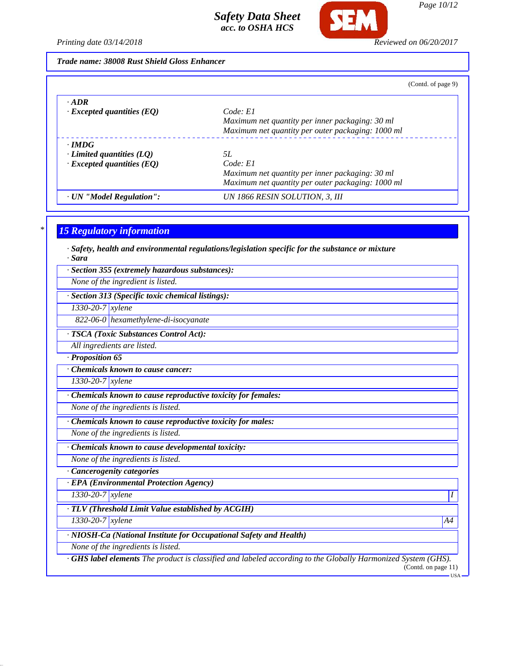

*Page 10/12*

*Printing date 03/14/2018 Reviewed on 06/20/2017*

*Trade name: 38008 Rust Shield Gloss Enhancer*

| (Contd. of page 9) |  |  |
|--------------------|--|--|
|                    |  |  |

| $\cdot$ <i>ADR</i>               |                                                   |
|----------------------------------|---------------------------------------------------|
| $\cdot$ Excepted quantities (EQ) | Code: El                                          |
|                                  | Maximum net quantity per inner packaging: 30 ml   |
|                                  | Maximum net quantity per outer packaging: 1000 ml |
| $\cdot$ IMDG                     |                                                   |
| $\cdot$ Limited quantities (LQ)  | 5L                                                |
| $\cdot$ Excepted quantities (EQ) | Code: El                                          |
|                                  | Maximum net quantity per inner packaging: 30 ml   |
|                                  | Maximum net quantity per outer packaging: 1000 ml |
| · UN "Model Regulation":         | UN 1866 RESIN SOLUTION, 3, III                    |

# *\* 15 Regulatory information*

*· Safety, health and environmental regulations/legislation specific for the substance or mixture · Sara*

*· Section 355 (extremely hazardous substances):*

*None of the ingredient is listed.*

*· Section 313 (Specific toxic chemical listings):*

*1330-20-7 xylene*

*822-06-0 hexamethylene-di-isocyanate*

*· TSCA (Toxic Substances Control Act):*

*All ingredients are listed.*

*· Proposition 65*

*· Chemicals known to cause cancer:*

*1330-20-7 xylene*

*· Chemicals known to cause reproductive toxicity for females:*

*None of the ingredients is listed.*

*· Chemicals known to cause reproductive toxicity for males:*

*None of the ingredients is listed.*

*· Chemicals known to cause developmental toxicity:*

*None of the ingredients is listed.*

*· Cancerogenity categories*

*· EPA (Environmental Protection Agency)*

*1330-20-7 xylene I* 

*· TLV (Threshold Limit Value established by ACGIH)*

*1330-20-7 xylene A4*

*· NIOSH-Ca (National Institute for Occupational Safety and Health)*

*None of the ingredients is listed.*

*· GHS label elements The product is classified and labeled according to the Globally Harmonized System (GHS).* (Contd. on page 11)

USA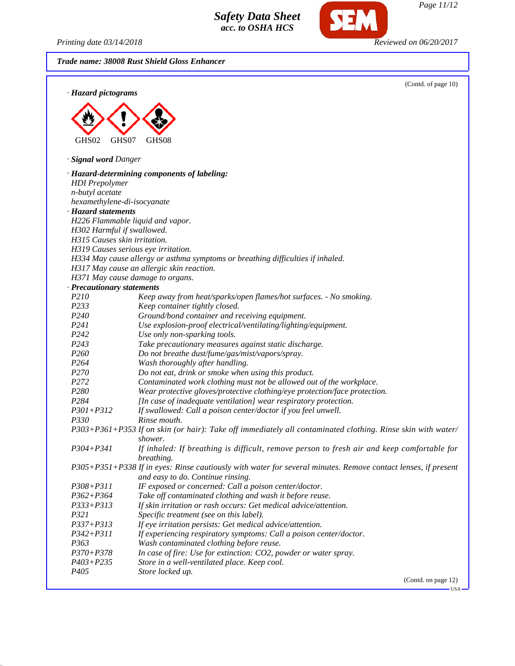SEI

| Printing date 03/14/2018            | Reviewed on 06/20/2017                                                                                                                             |
|-------------------------------------|----------------------------------------------------------------------------------------------------------------------------------------------------|
|                                     | Trade name: 38008 Rust Shield Gloss Enhancer                                                                                                       |
|                                     | (Contd. of page 10)                                                                                                                                |
| · Hazard pictograms                 |                                                                                                                                                    |
|                                     |                                                                                                                                                    |
|                                     |                                                                                                                                                    |
| GHS02<br>GHS07                      | GHS08                                                                                                                                              |
| · Signal word Danger                |                                                                                                                                                    |
|                                     | · Hazard-determining components of labeling:                                                                                                       |
| <b>HDI</b> Prepolymer               |                                                                                                                                                    |
| n-butyl acetate                     |                                                                                                                                                    |
| hexamethylene-di-isocyanate         |                                                                                                                                                    |
| · Hazard statements                 |                                                                                                                                                    |
| H226 Flammable liquid and vapor.    |                                                                                                                                                    |
| H302 Harmful if swallowed.          |                                                                                                                                                    |
| H315 Causes skin irritation.        |                                                                                                                                                    |
| H319 Causes serious eye irritation. |                                                                                                                                                    |
|                                     | H334 May cause allergy or asthma symptoms or breathing difficulties if inhaled.                                                                    |
|                                     | H317 May cause an allergic skin reaction.                                                                                                          |
| H371 May cause damage to organs.    |                                                                                                                                                    |
| · Precautionary statements          |                                                                                                                                                    |
| P210                                | Keep away from heat/sparks/open flames/hot surfaces. - No smoking.                                                                                 |
| P233                                | Keep container tightly closed.                                                                                                                     |
| P <sub>240</sub>                    | Ground/bond container and receiving equipment.                                                                                                     |
| P241                                | Use explosion-proof electrical/ventilating/lighting/equipment.                                                                                     |
| P <sub>242</sub>                    | Use only non-sparking tools.                                                                                                                       |
| P <sub>243</sub>                    | Take precautionary measures against static discharge.                                                                                              |
| P <sub>260</sub>                    | Do not breathe dust/fume/gas/mist/vapors/spray.                                                                                                    |
| P <sub>264</sub>                    | Wash thoroughly after handling.                                                                                                                    |
| P270                                | Do not eat, drink or smoke when using this product.                                                                                                |
| P <sub>272</sub>                    | Contaminated work clothing must not be allowed out of the workplace.                                                                               |
| P280                                | Wear protective gloves/protective clothing/eye protection/face protection.                                                                         |
| P284                                | [In case of inadequate ventilation] wear respiratory protection.                                                                                   |
| $P301 + P312$                       | If swallowed: Call a poison center/doctor if you feel unwell.                                                                                      |
| <i>P330</i>                         | Rinse mouth.                                                                                                                                       |
|                                     | P303+P361+P353 If on skin (or hair): Take off immediately all contaminated clothing. Rinse skin with water/                                        |
|                                     | shower.                                                                                                                                            |
| $P304 + P341$                       | If inhaled: If breathing is difficult, remove person to fresh air and keep comfortable for<br>breathing.                                           |
|                                     | P305+P351+P338 If in eyes: Rinse cautiously with water for several minutes. Remove contact lenses, if present<br>and easy to do. Continue rinsing. |
| $P308 + P311$                       | IF exposed or concerned: Call a poison center/doctor.                                                                                              |
| $P362 + P364$                       | Take off contaminated clothing and wash it before reuse.                                                                                           |
| $P333 + P313$                       | If skin irritation or rash occurs: Get medical advice/attention.                                                                                   |
| P321                                | Specific treatment (see on this label).                                                                                                            |
| $P337 + P313$                       | If eye irritation persists: Get medical advice/attention.                                                                                          |
| $P342 + P311$                       | If experiencing respiratory symptoms: Call a poison center/doctor.                                                                                 |
| P <sub>363</sub>                    | Wash contaminated clothing before reuse.                                                                                                           |
| $P370 + P378$                       | In case of fire: Use for extinction: CO2, powder or water spray.                                                                                   |
| P403+P235                           | Store in a well-ventilated place. Keep cool.                                                                                                       |

*P405 Store locked up.*

(Contd. on page 12)

 $-<sub>USA</sub>$